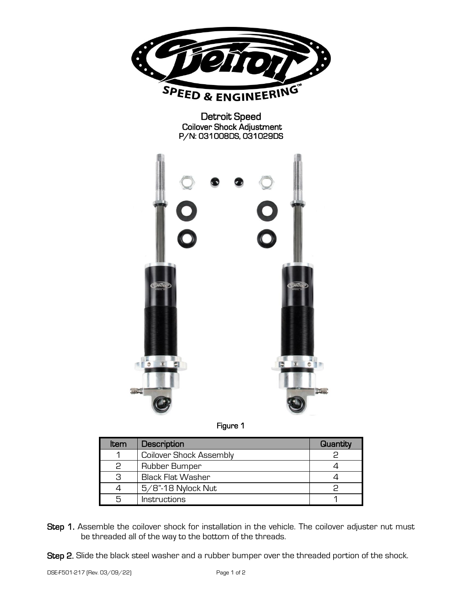



| ltem | Description                    | Quantity |
|------|--------------------------------|----------|
|      | <b>Coilover Shock Assembly</b> |          |
|      | Rubber Bumper                  |          |
| З    | Black Flat Washer              |          |
|      | 5/8"-18 Nylock Nut             |          |
| 5    | Instructions                   |          |

- Step 1. Assemble the coilover shock for installation in the vehicle. The coilover adjuster nut must be threaded all of the way to the bottom of the threads.
- Step 2. Slide the black steel washer and a rubber bumper over the threaded portion of the shock.